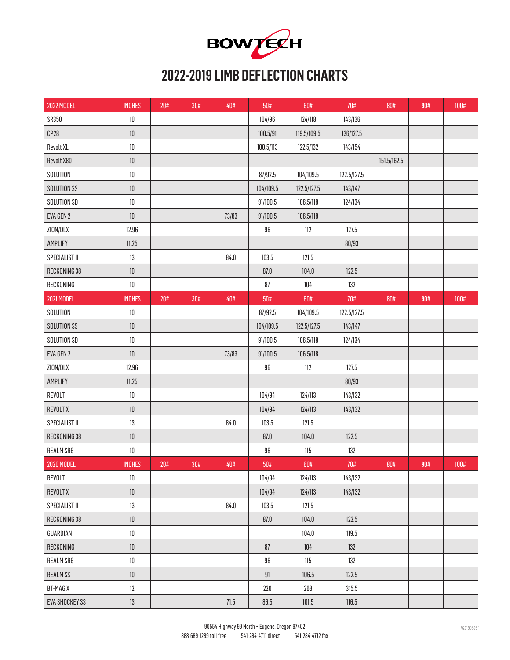

## **2022-2019 LIMB DEFLECTION CHARTS**

| <b>2022 MODEL</b>     | <b>INCHES</b> | 20# | $30\#$ | 40#      | 50#       | 60#         | 70#         | $80\#$      | 90# | $100\#$ |
|-----------------------|---------------|-----|--------|----------|-----------|-------------|-------------|-------------|-----|---------|
| SR350                 | $10\,$        |     |        |          | 104/96    | 124/118     | 143/136     |             |     |         |
| CP28                  | $10\,$        |     |        |          | 100.5/91  | 119.5/109.5 | 136/127.5   |             |     |         |
| <b>Revolt XL</b>      | $10\,$        |     |        |          | 100.5/113 | 122.5/132   | 143/154     |             |     |         |
| Revolt X80            | $10\,$        |     |        |          |           |             |             | 151.5/162.5 |     |         |
| SOLUTION              | $10\,$        |     |        |          | 87/92.5   | 104/109.5   | 122.5/127.5 |             |     |         |
| SOLUTION SS           | $10\,$        |     |        |          | 104/109.5 | 122.5/127.5 | 143/147     |             |     |         |
| SOLUTION SD           | $10\,$        |     |        |          | 91/100.5  | 106.5/118   | 124/134     |             |     |         |
| EVA GEN 2             | $10\,$        |     |        | 73/83    | 91/100.5  | 106.5/118   |             |             |     |         |
| ZION/DLX              | 12.96         |     |        |          | $96\,$    | 112         | 127.5       |             |     |         |
| AMPLIFY               | $11.25$       |     |        |          |           |             | 80/93       |             |     |         |
| SPECIALIST II         | 13            |     |        | $84.0\,$ | 103.5     | 121.5       |             |             |     |         |
| RECKONING 38          | $10\,$        |     |        |          | $87.0\,$  | $104.0$     | 122.5       |             |     |         |
| RECKONING             | $10\,$        |     |        |          | 87        | $104\,$     | 132         |             |     |         |
| 2021 MODEL            | <b>INCHES</b> | 20# | 30#    | 40#      | $50\%$    | 60#         | $70\#$      | 80#         | 90# | $100\#$ |
| SOLUTION              | $10\,$        |     |        |          | 87/92.5   | 104/109.5   | 122.5/127.5 |             |     |         |
| SOLUTION SS           | $10\,$        |     |        |          | 104/109.5 | 122.5/127.5 | 143/147     |             |     |         |
| SOLUTION SD           | $10\,$        |     |        |          | 91/100.5  | 106.5/118   | 124/134     |             |     |         |
| EVA GEN 2             | $10\,$        |     |        | 73/83    | 91/100.5  | 106.5/118   |             |             |     |         |
| ZION/DLX              | 12.96         |     |        |          | $96\,$    | 112         | 127.5       |             |     |         |
| AMPLIFY               | 11.25         |     |        |          |           |             | 80/93       |             |     |         |
| REVOLT                | $10\,$        |     |        |          | 104/94    | 124/113     | 143/132     |             |     |         |
| <b>REVOLT X</b>       | $10\,$        |     |        |          | 104/94    | 124/113     | 143/132     |             |     |         |
| SPECIALIST II         | $13\,$        |     |        | $84.0\,$ | 103.5     | 121.5       |             |             |     |         |
| RECKONING 38          | $10\,$        |     |        |          | 87.0      | $104.0$     | 122.5       |             |     |         |
| <b>REALM SR6</b>      | $10\,$        |     |        |          | $96\,$    | 115         | 132         |             |     |         |
| <b>2020 MODEL</b>     | <b>INCHES</b> | 20# | 30#    | 40#      | $50\%$    | 60#         | $70\#$      | 80#         | 90# | 100#    |
| REVOLT                | $10\,$        |     |        |          | 104/94    | 124/113     | 143/132     |             |     |         |
| REVOLT X              | $10\,$        |     |        |          | 104/94    | 124/113     | 143/132     |             |     |         |
| SPECIALIST II         | $13\,$        |     |        | $84.0\,$ | 103.5     | 121.5       |             |             |     |         |
| RECKONING 38          | $10\,$        |     |        |          | $87.0\,$  | 104.0       | 122.5       |             |     |         |
| GUARDIAN              | $10\,$        |     |        |          |           | $104.0$     | 119.5       |             |     |         |
| RECKONING             | $10\,$        |     |        |          | 87        | $104\,$     | 132         |             |     |         |
| REALM SR6             | $10\,$        |     |        |          | 96        | 115         | 132         |             |     |         |
| <b>REALMSS</b>        | $10\,$        |     |        |          | 91        | 106.5       | 122.5       |             |     |         |
| BT-MAG X              | $12\,$        |     |        |          | 220       | 268         | 315.5       |             |     |         |
| <b>EVA SHOCKEY SS</b> | 13            |     |        | $71.5$   | 86.5      | $101.5$     | 116.5       |             |     |         |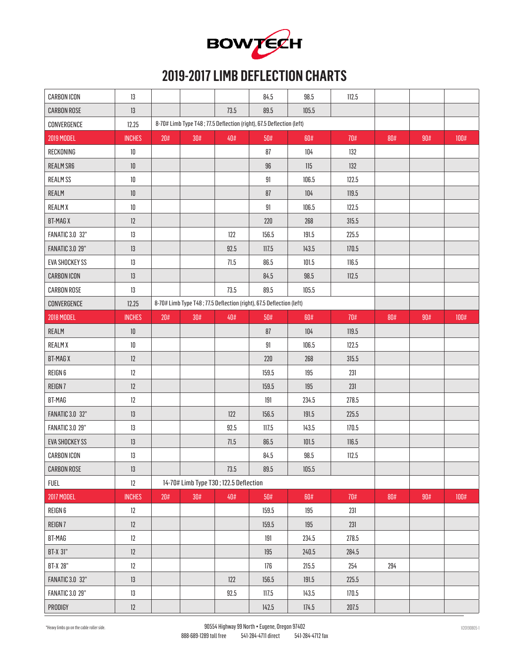

#### **2019-2017 LIMB DEFLECTION CHARTS**

| <b>CARBON ICON</b>     | 13            |     |                                        |      | 84.5                                                                 | 98.5  | 112.5 |     |     |      |
|------------------------|---------------|-----|----------------------------------------|------|----------------------------------------------------------------------|-------|-------|-----|-----|------|
| <b>CARBON ROSE</b>     | 13            |     |                                        | 73.5 | 89.5                                                                 | 105.5 |       |     |     |      |
| CONVERGENCE            | 12.25         |     |                                        |      | 8-70# Limb Type T48; 77.5 Deflection (right), 67.5 Deflection (left) |       |       |     |     |      |
| 2019 MODEL             | <b>INCHES</b> | 20# | 30#                                    | 40#  | 50#                                                                  | 60#   | 70#   | 80# | 90# | 100# |
| RECKONING              | $10\,$        |     |                                        |      | 87                                                                   | 104   | 132   |     |     |      |
| REALM SR6              | $10\,$        |     |                                        |      | 96                                                                   | 115   | 132   |     |     |      |
| <b>REALMSS</b>         | $10\,$        |     |                                        |      | 91                                                                   | 106.5 | 122.5 |     |     |      |
| REALM                  | $10\,$        |     |                                        |      | 87                                                                   | 104   | 119.5 |     |     |      |
| <b>REALMX</b>          | $10\,$        |     |                                        |      | 91                                                                   | 106.5 | 122.5 |     |     |      |
| <b>BT-MAG X</b>        | 12            |     |                                        |      | 220                                                                  | 268   | 315.5 |     |     |      |
| <b>FANATIC 3.0 32"</b> | 13            |     |                                        | 122  | 156.5                                                                | 191.5 | 225.5 |     |     |      |
| <b>FANATIC 3.0 29"</b> | 13            |     |                                        | 92.5 | 117.5                                                                | 143.5 | 170.5 |     |     |      |
| <b>EVA SHOCKEY SS</b>  | 13            |     |                                        | 71.5 | 86.5                                                                 | 101.5 | 116.5 |     |     |      |
| <b>CARBON ICON</b>     | 13            |     |                                        |      | 84.5                                                                 | 98.5  | 112.5 |     |     |      |
| <b>CARBON ROSE</b>     | 13            |     |                                        | 73.5 | 89.5                                                                 | 105.5 |       |     |     |      |
| CONVERGENCE            | 12.25         |     |                                        |      | 8-70# Limb Type T48; 77.5 Deflection (right), 67.5 Deflection (left) |       |       |     |     |      |
| <b>2018 MODEL</b>      | <b>INCHES</b> | 20# | 30#                                    | 40#  | 50#                                                                  | 60#   | 70#   | 80# | 90# | 100# |
| REALM                  | $10\,$        |     |                                        |      | 87                                                                   | 104   | 119.5 |     |     |      |
| <b>REALMX</b>          | $10\,$        |     |                                        |      | 91                                                                   | 106.5 | 122.5 |     |     |      |
| <b>BT-MAGX</b>         | 12            |     |                                        |      | 220                                                                  | 268   | 315.5 |     |     |      |
| REIGN 6                | $12\,$        |     |                                        |      | 159.5                                                                | 195   | 231   |     |     |      |
| REIGN 7                | 12            |     |                                        |      | 159.5                                                                | 195   | 231   |     |     |      |
| BT-MAG                 | 12            |     |                                        |      | 191                                                                  | 234.5 | 278.5 |     |     |      |
| <b>FANATIC 3.0 32"</b> | $13\,$        |     |                                        | 122  | 156.5                                                                | 191.5 | 225.5 |     |     |      |
| <b>FANATIC 3.0 29"</b> | 13            |     |                                        | 92.5 | 117.5                                                                | 143.5 | 170.5 |     |     |      |
| <b>EVA SHOCKEY SS</b>  | 13            |     |                                        | 71.5 | 86.5                                                                 | 101.5 | 116.5 |     |     |      |
| <b>CARBON ICON</b>     | $13\,$        |     |                                        |      | 84.5                                                                 | 98.5  | 112.5 |     |     |      |
| <b>CARBON ROSE</b>     | $13\,$        |     |                                        | 73.5 | 89.5                                                                 | 105.5 |       |     |     |      |
| <b>FUEL</b>            | $12\,$        |     | 14-70# Limb Type T30; 122.5 Deflection |      |                                                                      |       |       |     |     |      |
| <b>2017 MODEL</b>      | <b>INCHES</b> | 20# | $30\#$                                 | 40#  | 50#                                                                  | 60#   | 70#   | 80# | 90# | 100# |
| REIGN 6                | $12\,$        |     |                                        |      | 159.5                                                                | 195   | 231   |     |     |      |
| REIGN 7                | 12            |     |                                        |      | 159.5                                                                | 195   | 231   |     |     |      |
| BT-MAG                 | $12\,$        |     |                                        |      | 191                                                                  | 234.5 | 278.5 |     |     |      |
| BT-X 31"               | 12            |     |                                        |      | 195                                                                  | 240.5 | 284.5 |     |     |      |
| <b>BT-X 28"</b>        | $12\,$        |     |                                        |      | 176                                                                  | 215.5 | 254   | 294 |     |      |
| <b>FANATIC 3.0 32"</b> | $13\,$        |     |                                        | 122  | 156.5                                                                | 191.5 | 225.5 |     |     |      |
| <b>FANATIC 3.0 29"</b> | $13\,$        |     |                                        | 92.5 | 117.5                                                                | 143.5 | 170.5 |     |     |      |
| PRODIGY                | $12\,$        |     |                                        |      | 142.5                                                                | 174.5 | 207.5 |     |     |      |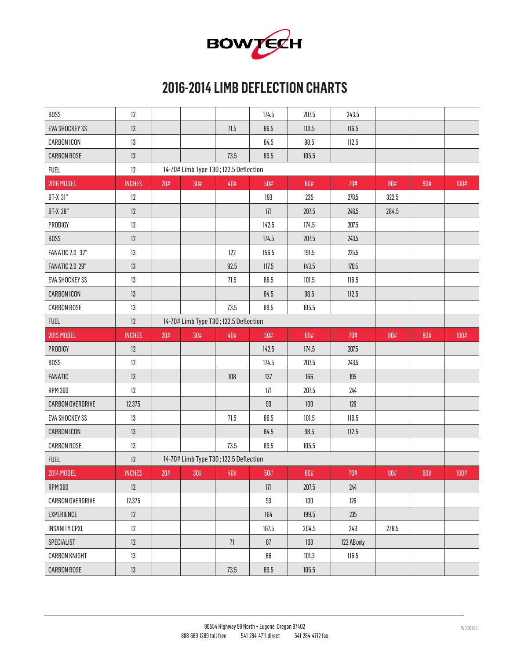

### **2016-2014 LIMB DEFLECTION CHARTS**

| BOSS                    | 12            |     |                                        |        | 174.5 | 207.5 | 243.5       |       |     |      |
|-------------------------|---------------|-----|----------------------------------------|--------|-------|-------|-------------|-------|-----|------|
| <b>EVA SHOCKEY SS</b>   | $13\,$        |     |                                        | 71.5   | 86.5  | 101.5 | 116.5       |       |     |      |
| <b>CARBON ICON</b>      | 13            |     |                                        |        | 84.5  | 98.5  | 112.5       |       |     |      |
| <b>CARBON ROSE</b>      | 13            |     |                                        | 73.5   | 89.5  | 105.5 |             |       |     |      |
| <b>FUEL</b>             | 12            |     | 14-70# Limb Type T30; 122.5 Deflection |        |       |       |             |       |     |      |
| <b>2016 MODEL</b>       | <b>INCHES</b> | 20# | 30#                                    | 40#    | 50#   | 60#   | 70#         | 80#   | 90# | 100# |
| <b>BT-X 31"</b>         | 12            |     |                                        |        | 193   | 235   | 278.5       | 322.5 |     |      |
| <b>BT-X 28"</b>         | 12            |     |                                        |        | 171   | 207.5 | 246.5       | 284.5 |     |      |
| PRODIGY                 | 12            |     |                                        |        | 142.5 | 174.5 | 207.5       |       |     |      |
| <b>BOSS</b>             | 12            |     |                                        |        | 174.5 | 207.5 | 243.5       |       |     |      |
| <b>FANATIC 2.0 32"</b>  | 13            |     |                                        | 122    | 156.5 | 191.5 | 225.5       |       |     |      |
| <b>FANATIC 2.0 29"</b>  | 13            |     |                                        | 92.5   | 117.5 | 143.5 | 170.5       |       |     |      |
| <b>EVA SHOCKEY SS</b>   | $13\,$        |     |                                        | 71.5   | 86.5  | 101.5 | 116.5       |       |     |      |
| <b>CARBON ICON</b>      | 13            |     |                                        |        | 84.5  | 98.5  | 112.5       |       |     |      |
| <b>CARBON ROSE</b>      | $13\,$        |     |                                        | 73.5   | 89.5  | 105.5 |             |       |     |      |
| <b>FUEL</b>             | 12            |     | 14-70# Limb Type T30; 122.5 Deflection |        |       |       |             |       |     |      |
| <b>2015 MODEL</b>       | <b>INCHES</b> | 20# | $30\#$                                 | 40#    | 50#   | 60#   | 70#         | 80#   | 90# | 100# |
|                         |               |     |                                        |        |       |       |             |       |     |      |
| PRODIGY                 | $12\,$        |     |                                        |        | 142.5 | 174.5 | 207.5       |       |     |      |
| BOSS                    | 12            |     |                                        |        | 174.5 | 207.5 | 243.5       |       |     |      |
| FANATIC                 | 13            |     |                                        | 108    | 137   | 166   | 195         |       |     |      |
| <b>RPM 360</b>          | 12            |     |                                        |        | $171$ | 207.5 | 244         |       |     |      |
| <b>CARBON OVERDRIVE</b> | 12.375        |     |                                        |        | 93    | 109   | 126         |       |     |      |
| <b>EVA SHOCKEY SS</b>   | $13\,$        |     |                                        | $71.5$ | 86.5  | 101.5 | 116.5       |       |     |      |
| <b>CARBON ICON</b>      | 13            |     |                                        |        | 84.5  | 98.5  | 112.5       |       |     |      |
| CARBON ROSE             | 13            |     |                                        | 73.5   | 89.5  | 105.5 |             |       |     |      |
| <b>FUEL</b>             | $12\,$        |     | 14-70# Limb Type T30; 122.5 Deflection |        |       |       |             |       |     |      |
| <b>2014 MODEL</b>       | <b>INCHES</b> | 20# | $30\#$                                 | 40#    | 50#   | 60#   | 70#         | 80#   | 90# | 100# |
| <b>RPM 360</b>          | 12            |     |                                        |        | 171   | 207.5 | 244         |       |     |      |
| CARBON OVERDRIVE        | 12.375        |     |                                        |        | 93    | 109   | 126         |       |     |      |
| EXPERIENCE              | 12            |     |                                        |        | 164   | 199.5 | 235         |       |     |      |
| <b>INSANITY CPXL</b>    | 12            |     |                                        |        | 167.5 | 204.5 | 243         | 278.5 |     |      |
| SPECIALIST              | 12            |     |                                        | 71     | 87    | 103   | 122 AB only |       |     |      |
| <b>CARBON KNIGHT</b>    | 13            |     |                                        |        | 86    | 101.3 | 116.5       |       |     |      |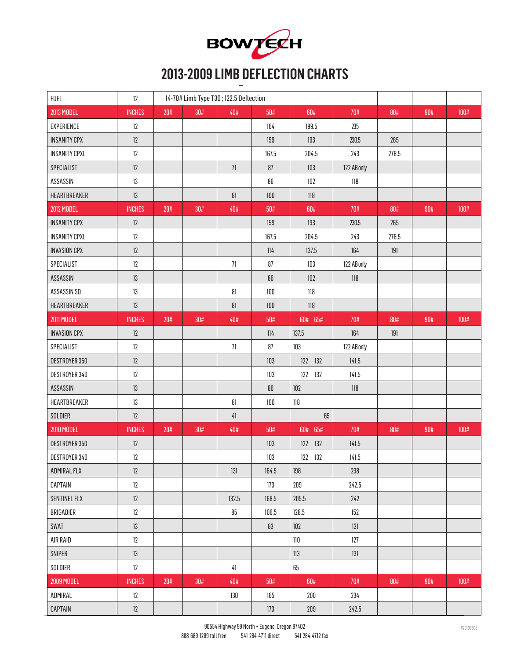

# **2013-2009 LIMB DEFLECTION CHARTS**

| <b>FUEL</b>          | 12            |     | 14-70# Limb Type T30; 122.5 Deflection |        |       |            |             |        |     |         |
|----------------------|---------------|-----|----------------------------------------|--------|-------|------------|-------------|--------|-----|---------|
| <b>2013 MODEL</b>    | <b>INCHES</b> | 20# | 30#                                    | 40#    | 50#   | 60#        | 70#         | 80#    | 90# | 100#    |
| <b>EXPERIENCE</b>    | 12            |     |                                        |        | 164   | 199.5      | 235         |        |     |         |
| <b>INSANITY CPX</b>  | 12            |     |                                        |        | 159   | 193        | 230.5       | 265    |     |         |
| <b>INSANITY CPXL</b> | 12            |     |                                        |        | 167.5 | 204.5      | 243         | 278.5  |     |         |
| SPECIALIST           | 12            |     |                                        | $71\,$ | 87    | 103        | 122 AB only |        |     |         |
| ASSASSIN             | 13            |     |                                        |        | 86    | 102        | $118\,$     |        |     |         |
| HEARTBREAKER         | 13            |     |                                        | 81     | 100   | $118$      |             |        |     |         |
| 2012 MODEL           | <b>INCHES</b> | 20# | 30#                                    | 40#    | 50#   | 60#        | 70#         | 80#    | 90# | 100#    |
| <b>INSANITY CPX</b>  | 12            |     |                                        |        | 159   | 193        | 230.5       | 265    |     |         |
| <b>INSANITY CPXL</b> | 12            |     |                                        |        | 167.5 | 204.5      | 243         | 278.5  |     |         |
| <b>INVASION CPX</b>  | 12            |     |                                        |        | 114   | 137.5      | 164         | 191    |     |         |
| SPECIALIST           | 12            |     |                                        | $71\,$ | 87    | 103        | 122 AB only |        |     |         |
| ASSASSIN             | 13            |     |                                        |        | 86    | 102        | $118$       |        |     |         |
| ASSASSIN SD          | $13\,$        |     |                                        | $81\,$ | 100   | 118        |             |        |     |         |
| HEARTBREAKER         | $13\,$        |     |                                        | $81\,$ | 100   | 118        |             |        |     |         |
| 2011 MODEL           | <b>INCHES</b> | 20# | 30#                                    | 40#    | 50#   | 60# 65#    | 70#         | $80\#$ | 90# | 100#    |
| <b>INVASION CPX</b>  | 12            |     |                                        |        | 114   | 137.5      | 164         | 191    |     |         |
| SPECIALIST           | 12            |     |                                        | $71\,$ | 87    | 103        | 122 AB only |        |     |         |
| DESTROYER 350        | 12            |     |                                        |        | 103   | 122 132    | 141.5       |        |     |         |
| DESTROYER 340        | $12\,$        |     |                                        |        | 103   | 122<br>132 | 141.5       |        |     |         |
| ASSASSIN             | 13            |     |                                        |        | 86    | 102        | $118$       |        |     |         |
| HEARTBREAKER         | 13            |     |                                        | $81\,$ | 100   | $118\,$    |             |        |     |         |
| SOLDIER              | 12            |     |                                        | $41$   |       | 65         |             |        |     |         |
| <b>2010 MODEL</b>    | <b>INCHES</b> | 20# | 30#                                    | 40#    | 50#   | 60# 65#    | 70#         | 80#    | 90# | 100#    |
| DESTROYER 350        | 12            |     |                                        |        | 103   | 122 132    | 141.5       |        |     |         |
| DESTROYER 340        | $12\,$        |     |                                        |        | 103   | 122 132    | 141.5       |        |     |         |
| ADMIRAL FLX          | 12            |     |                                        | 131    | 164.5 | 198        | 238         |        |     |         |
| CAPTAIN              | 12            |     |                                        |        | 173   | 209        | 242.5       |        |     |         |
| <b>SENTINEL FLX</b>  | 12            |     |                                        | 132.5  | 168.5 | 205.5      | 242         |        |     |         |
| BRIGADIER            | 12            |     |                                        | 85     | 106.5 | 128.5      | 152         |        |     |         |
| SWAT                 | 13            |     |                                        |        | 83    | 102        | 121         |        |     |         |
| AIR RAID             | 12            |     |                                        |        |       | $110\,$    | 127         |        |     |         |
| SNIPER               | 13            |     |                                        |        |       | 113        | 131         |        |     |         |
| SOLDIER              | 12            |     |                                        | 41     |       | $65\,$     |             |        |     |         |
| <b>2009 MODEL</b>    | <b>INCHES</b> | 20# | 30#                                    | 40#    | 50#   | 60#        | 70#         | 80#    | 90# | $100\#$ |
| ADMIRAL              | 12            |     |                                        | 130    | 165   | 200        | 234         |        |     |         |
| CAPTAIN              | $12\,$        |     |                                        |        | 173   | $209\,$    | 242.5       |        |     |         |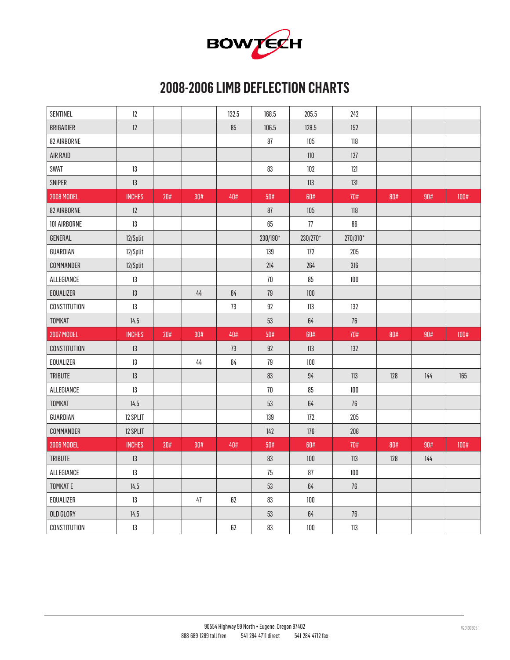

### **2008-2006 LIMB DEFLECTION CHARTS**

| <b>SENTINEL</b>   | 12            |     |      | 132.5  | 168.5    | 205.5    | 242      |        |     |      |
|-------------------|---------------|-----|------|--------|----------|----------|----------|--------|-----|------|
| BRIGADIER         | 12            |     |      | 85     | 106.5    | 128.5    | 152      |        |     |      |
| 82 AIRBORNE       |               |     |      |        | 87       | 105      | 118      |        |     |      |
| AIR RAID          |               |     |      |        |          | $110\,$  | 127      |        |     |      |
| SWAT              | $13\,$        |     |      |        | 83       | 102      | 121      |        |     |      |
| SNIPER            | $13\,$        |     |      |        |          | 113      | 131      |        |     |      |
| <b>2008 MODEL</b> | <b>INCHES</b> | 20# | 30#  | 40#    | 50#      | 60#      | 70#      | $80\#$ | 90# | 100# |
| 82 AIRBORNE       | 12            |     |      |        | 87       | 105      | 118      |        |     |      |
| 101 AIRBORNE      | 13            |     |      |        | 65       | 77       | 86       |        |     |      |
| GENERAL           | 12/Split      |     |      |        | 230/190* | 230/270* | 270/310* |        |     |      |
| GUARDIAN          | 12/Split      |     |      |        | 139      | 172      | 205      |        |     |      |
| COMMANDER         | 12/Split      |     |      |        | 214      | 264      | 316      |        |     |      |
| ALLEGIANCE        | $13\,$        |     |      |        | $70\,$   | 85       | $100\,$  |        |     |      |
| EQUALIZER         | 13            |     | $44$ | 64     | 79       | $100\,$  |          |        |     |      |
| CONSTITUTION      | 13            |     |      | 73     | 92       | $113$    | 132      |        |     |      |
|                   |               |     |      |        |          |          |          |        |     |      |
| TOMKAT            | 14.5          |     |      |        | 53       | 64       | 76       |        |     |      |
| <b>2007 MODEL</b> | <b>INCHES</b> | 20# | 30#  | 40#    | 50#      | 60#      | 70#      | 80#    | 90# | 100# |
| CONSTITUTION      | $13\,$        |     |      | $73\,$ | 92       | 113      | 132      |        |     |      |
| EQUALIZER         | 13            |     | 44   | 64     | 79       | 100      |          |        |     |      |
| <b>TRIBUTE</b>    | 13            |     |      |        | 83       | 94       | 113      | 128    | 144 | 165  |
| ALLEGIANCE        | 13            |     |      |        | $70$     | 85       | 100      |        |     |      |
| <b>TOMKAT</b>     | 14.5          |     |      |        | 53       | 64       | 76       |        |     |      |
| GUARDIAN          | 12 SPLIT      |     |      |        | 139      | $172$    | 205      |        |     |      |
| COMMANDER         | 12 SPLIT      |     |      |        | 142      | 176      | 208      |        |     |      |
| 2006 MODEL        | <b>INCHES</b> | 20# | 30#  | 40#    | 50#      | 60#      | 70#      | $80\#$ | 90# | 100# |
| <b>TRIBUTE</b>    | $13$          |     |      |        | 83       | $100\,$  | 113      | 128    | 144 |      |
| ALLEGIANCE        | 13            |     |      |        | 75       | 87       | 100      |        |     |      |
| <b>TOMKATE</b>    | 14.5          |     |      |        | 53       | 64       | 76       |        |     |      |
| EQUALIZER         | 13            |     | 47   | 62     | 83       | 100      |          |        |     |      |
| OLD GLORY         | 14.5          |     |      |        | 53       | 64       | 76       |        |     |      |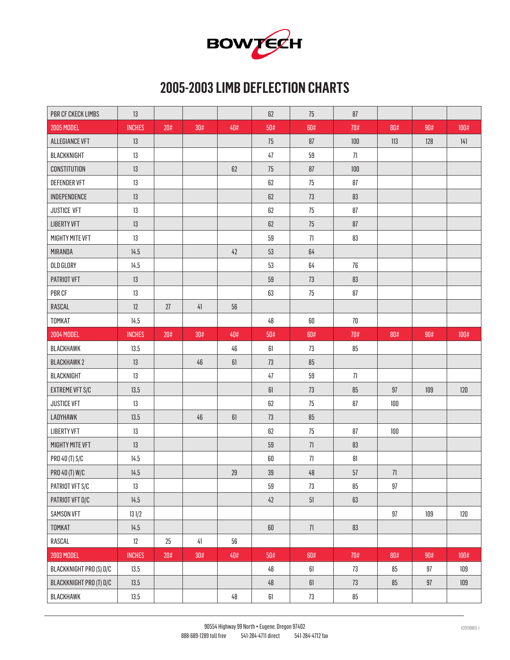

### **2005-2003 LIMB DEFLECTION CHARTS**

| PBR CF CKECK LIMBS      | $13\,$        |        |            |        | 62     | 75         | 87      |         |         |                |
|-------------------------|---------------|--------|------------|--------|--------|------------|---------|---------|---------|----------------|
| 2005 MODEL              | <b>INCHES</b> | 20#    | 30#        | 40#    | 50#    | 60#        | 70#     | 80#     | 90#     | $100\text{\#}$ |
| <b>ALLEGIANCE VFT</b>   | 13            |        |            |        | 75     | 87         | $100\,$ | 113     | $128$   | 141            |
| BLACKKNIGHT             | 13            |        |            |        | $47\,$ | 59         | 71      |         |         |                |
| <b>CONSTITUTION</b>     | 13            |        |            | $62\,$ | 75     | ${\bf 87}$ | 100     |         |         |                |
| DEFENDER VFT            | 13            |        |            |        | $62\,$ | 75         | 87      |         |         |                |
| INDEPENDENCE            | 13            |        |            |        | $62\,$ | 73         | 83      |         |         |                |
| <b>JUSTICE VFT</b>      | 13            |        |            |        | $62\,$ | 75         | 87      |         |         |                |
| <b>LIBERTY VFT</b>      | 13            |        |            |        | $62\,$ | 75         | 87      |         |         |                |
| MIGHTY MITE VFT         | 13            |        |            |        | 59     | 71         | 83      |         |         |                |
| MIRANDA                 | 14.5          |        |            | 42     | 53     | 64         |         |         |         |                |
| OLD GLORY               | 14.5          |        |            |        | 53     | 64         | 76      |         |         |                |
| PATRIOT VFT             | 13            |        |            |        | 59     | 73         | 83      |         |         |                |
| PBR CF                  | 13            |        |            |        | 63     | 75         | 87      |         |         |                |
| RASCAL                  | 12            | 27     | $\sqrt{4}$ | 56     |        |            |         |         |         |                |
| TOMKAT                  | 14.5          |        |            |        | 48     | 60         | $70\,$  |         |         |                |
| <b>2004 MODEL</b>       | <b>INCHES</b> | $20\#$ | 30#        | 40#    | 50#    | 60#        | 70#     | 80#     | 90#     | $100\text{\#}$ |
| BLACKHAWK               | 13.5          |        |            | 46     | 61     | 73         | 85      |         |         |                |
| <b>BLACKHAWK2</b>       | 13            |        | 46         | $61\,$ | 73     | 85         |         |         |         |                |
| BLACKNIGHT              | 13            |        |            |        | 47     | $59\,$     | $71\,$  |         |         |                |
| <b>EXTREME VFT S/C</b>  | 13.5          |        |            |        | $61\,$ | 73         | $85\,$  | 97      | $109\,$ | $120\,$        |
| <b>JUSTICE VFT</b>      | 13            |        |            |        | 62     | 75         | $87\,$  | $100\,$ |         |                |
| LADYHAWK                | 13.5          |        | 46         | $61\,$ | 73     | $85\,$     |         |         |         |                |
| <b>LIBERTY VFT</b>      | 13            |        |            |        | 62     | 75         | 87      | $100\,$ |         |                |
| MIGHTY MITE VFT         | 13            |        |            |        | 59     | 71         | 83      |         |         |                |
| PRO 40 (T) S/C          | 14.5          |        |            |        | $60\,$ | 71         | 81      |         |         |                |
| PRO 40 (T) W/C          | 14.5          |        |            | 29     | $39\,$ | $48\,$     | $57\,$  | $71\,$  |         |                |
| PATRIOT VFT S/C         | 13            |        |            |        | 59     | 73         | 85      | 97      |         |                |
| PATRIOT VFT D/C         | 14.5          |        |            |        | $42\,$ | $51\,$     | 63      |         |         |                |
| SAMSON VFT              | 131/2         |        |            |        |        |            |         | 97      | 109     | 120            |
| TOMKAT                  | 14.5          |        |            |        | $60\,$ | $71\,$     | 83      |         |         |                |
| RASCAL                  | $12\,$        | 25     | 41         | 56     |        |            |         |         |         |                |
| 2003 MODEL              | <b>INCHES</b> | $20\#$ | 30#        | 40#    | 50#    | 60#        | $70\#$  | $80\#$  | 90#     | $100\#$        |
| BLACKKNIGHT PRO (S) D/C | 13.5          |        |            |        | 48     | 61         | 73      | 85      | 97      | 109            |
| BLACKKNIGHT PRO (T) D/C | 13.5          |        |            |        | $48\,$ | $61\,$     | 73      | $85\,$  | $97\,$  | 109            |
| BLACKHAWK               | 13.5          |        |            | 48     | $61\,$ | $73\,$     | 85      |         |         |                |